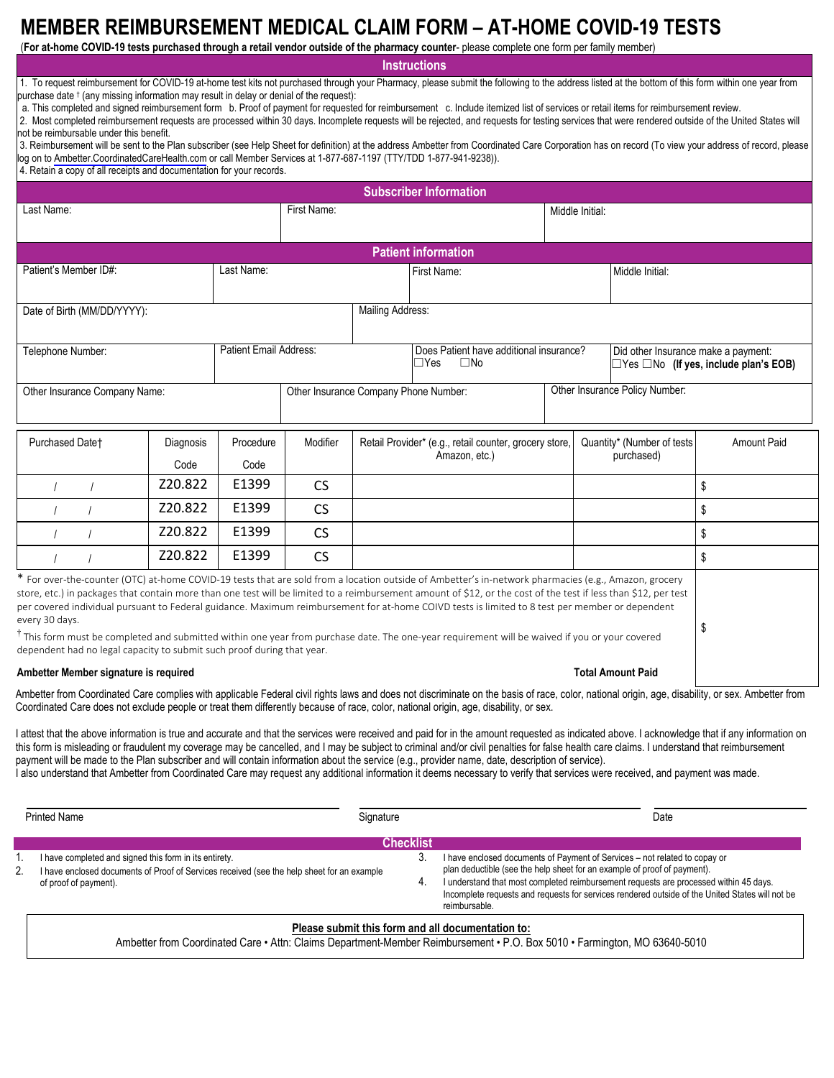# **MEMBER REIMBURSEMENT MEDICAL CLAIM FORM – AT-HOME COVID-19 TESTS**

(**For at-home COVID-19 tests purchased through a retail vendor outside of the pharmacy counter**- please complete one form per family member)

**Instructions**

1. To request reimbursement for COVID-19 at-home test kits not purchased through your Pharmacy, please submit the following to the address listed at the bottom of this form within one year from purchase date † (any missing information may result in delay or denial of the request):

a. This completed and signed reimbursement form b. Proof of payment for requested for reimbursement c. Include itemized list of services or retail items for reimbursement review.

2. Most completed reimbursement requests are processed within 30 days. Incomplete requests will be rejected, and requests for testing services that were rendered outside of the United States will not be reimbursable under this benefit.

3. Reimbursement will be sent to the Plan subscriber (see Help Sheet for definition) at the address Ambetter from Coordinated Care Corporation has on record (To view your address of record, please log on to [Ambetter.CoordinatedCareHealth.com](http://Ambetter.CoordinatedCareHealth.com) or call Member Services at 1-877-687-1197 (TTY/TDD 1-877-941-9238)).

4. Retain a copy of all receipts and documentation for your records.

| <b>Subscriber Information</b>                                                            |           |                        |                                       |                                                                         |                                                                                                                                                                                                                                                                                                                                                                                                                                                                                                                                                                                                                                          |                                |            |                                                                                          |  |  |
|------------------------------------------------------------------------------------------|-----------|------------------------|---------------------------------------|-------------------------------------------------------------------------|------------------------------------------------------------------------------------------------------------------------------------------------------------------------------------------------------------------------------------------------------------------------------------------------------------------------------------------------------------------------------------------------------------------------------------------------------------------------------------------------------------------------------------------------------------------------------------------------------------------------------------------|--------------------------------|------------|------------------------------------------------------------------------------------------|--|--|
| Last Name:                                                                               |           |                        | First Name:                           |                                                                         |                                                                                                                                                                                                                                                                                                                                                                                                                                                                                                                                                                                                                                          | Middle Initial:                |            |                                                                                          |  |  |
|                                                                                          |           |                        |                                       |                                                                         |                                                                                                                                                                                                                                                                                                                                                                                                                                                                                                                                                                                                                                          |                                |            |                                                                                          |  |  |
| <b>Patient information</b>                                                               |           |                        |                                       |                                                                         |                                                                                                                                                                                                                                                                                                                                                                                                                                                                                                                                                                                                                                          |                                |            |                                                                                          |  |  |
| Patient's Member ID#:                                                                    |           | Last Name:             |                                       | First Name:                                                             |                                                                                                                                                                                                                                                                                                                                                                                                                                                                                                                                                                                                                                          | Middle Initial:                |            |                                                                                          |  |  |
|                                                                                          |           |                        |                                       |                                                                         |                                                                                                                                                                                                                                                                                                                                                                                                                                                                                                                                                                                                                                          |                                |            |                                                                                          |  |  |
| Date of Birth (MM/DD/YYYY):                                                              |           | Mailing Address:       |                                       |                                                                         |                                                                                                                                                                                                                                                                                                                                                                                                                                                                                                                                                                                                                                          |                                |            |                                                                                          |  |  |
| Telephone Number:                                                                        |           | Patient Email Address: |                                       |                                                                         | Does Patient have additional insurance?<br>$\square$ No<br>$\Box$ Yes                                                                                                                                                                                                                                                                                                                                                                                                                                                                                                                                                                    |                                |            | Did other Insurance make a payment:<br>$\Box$ Yes $\Box$ No (If yes, include plan's EOB) |  |  |
| Other Insurance Company Name:                                                            |           |                        | Other Insurance Company Phone Number: |                                                                         |                                                                                                                                                                                                                                                                                                                                                                                                                                                                                                                                                                                                                                          | Other Insurance Policy Number: |            |                                                                                          |  |  |
| Purchased Datet                                                                          | Diagnosis | Procedure              | Modifier                              | Retail Provider* (e.g., retail counter, grocery store,<br>Amazon, etc.) |                                                                                                                                                                                                                                                                                                                                                                                                                                                                                                                                                                                                                                          | Quantity* (Number of tests     |            | <b>Amount Paid</b>                                                                       |  |  |
|                                                                                          | Code      | Code                   |                                       |                                                                         |                                                                                                                                                                                                                                                                                                                                                                                                                                                                                                                                                                                                                                          |                                | purchased) |                                                                                          |  |  |
|                                                                                          | Z20.822   | E1399                  | <b>CS</b>                             |                                                                         |                                                                                                                                                                                                                                                                                                                                                                                                                                                                                                                                                                                                                                          |                                |            | \$                                                                                       |  |  |
|                                                                                          | Z20.822   | E1399                  | <b>CS</b>                             |                                                                         |                                                                                                                                                                                                                                                                                                                                                                                                                                                                                                                                                                                                                                          |                                |            | \$                                                                                       |  |  |
|                                                                                          | Z20.822   | E1399                  | <b>CS</b>                             |                                                                         |                                                                                                                                                                                                                                                                                                                                                                                                                                                                                                                                                                                                                                          |                                |            | \$                                                                                       |  |  |
|                                                                                          | Z20.822   | E1399                  | <b>CS</b>                             |                                                                         |                                                                                                                                                                                                                                                                                                                                                                                                                                                                                                                                                                                                                                          |                                |            | \$                                                                                       |  |  |
| every 30 days.<br>dependent had no legal capacity to submit such proof during that year. |           |                        |                                       |                                                                         | * For over-the-counter (OTC) at-home COVID-19 tests that are sold from a location outside of Ambetter's in-network pharmacies (e.g., Amazon, grocery<br>store, etc.) in packages that contain more than one test will be limited to a reimbursement amount of \$12, or the cost of the test if less than \$12, per test<br>per covered individual pursuant to Federal guidance. Maximum reimbursement for at-home COIVD tests is limited to 8 test per member or dependent<br>$^{\text{T}}$ This form must be completed and submitted within one year from purchase date. The one-year requirement will be waived if you or your covered |                                |            | \$                                                                                       |  |  |

#### **Ambetter Member signature is required**

#### **Total Amount Paid**

Ambetter from Coordinated Care complies with applicable Federal civil rights laws and does not discriminate on the basis of race, color, national origin, age, disability, or sex. Ambetter from Coordinated Care does not exclude people or treat them differently because of race, color, national origin, age, disability, or sex.

I attest that the above information is true and accurate and that the services were received and paid for in the amount requested as indicated above. I acknowledge that if any information on this form is misleading or fraudulent my coverage may be cancelled, and I may be subject to criminal and/or civil penalties for false health care claims. I understand that reimbursement payment will be made to the Plan subscriber and will contain information about the service (e.g., provider name, date, description of service).

I also understand that Ambetter from Coordinated Care may request any additional information it deems necessary to verify that services were received, and payment was made.

| <b>Printed Name</b> |                                                                                                                     | Signature        | Date                                                                                                                                                                                                                                                                                  |  |
|---------------------|---------------------------------------------------------------------------------------------------------------------|------------------|---------------------------------------------------------------------------------------------------------------------------------------------------------------------------------------------------------------------------------------------------------------------------------------|--|
|                     | I have completed and signed this form in its entirety.                                                              | <b>Checklist</b> | I have enclosed documents of Payment of Services - not related to copay or                                                                                                                                                                                                            |  |
| 2.                  | I have enclosed documents of Proof of Services received (see the help sheet for an example<br>of proof of payment). |                  | plan deductible (see the help sheet for an example of proof of payment).<br>I understand that most completed reimbursement requests are processed within 45 days.<br>Incomplete requests and requests for services rendered outside of the United States will not be<br>reimbursable. |  |

## **Please submit this form and all documentation to:**

Ambetter from Coordinated Care • Attn: Claims Department-Member Reimbursement • P.O. Box 5010 • Farmington, MO 63640-5010